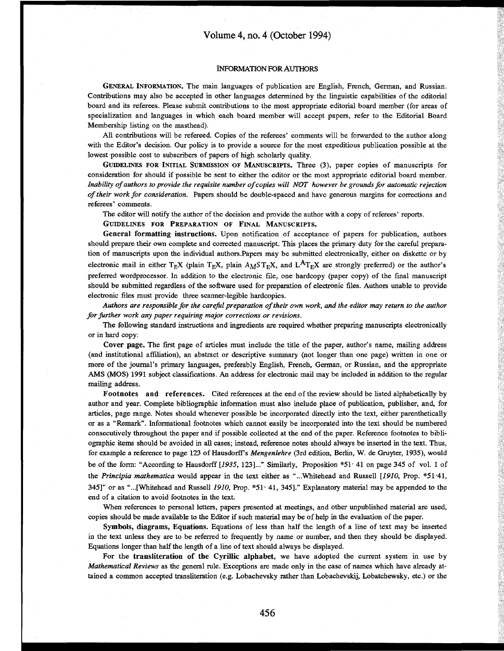## INFORMATION TOR AUTHORS

GENERAL INFORMATION. The main languages of publication are English, French, German, and Russian. Contributions may also be accepted in other languages determined by the linguistic capabilities of the editorial board and its referees. Please submit contributions to the most appropriate editorial board member (for areas of specialization and languages in which each board member will accept papers, refer to the Editorial Board Membership listing on the masthead).

All contributions will be refereed. Copies of the referees' comments will be forwarded to the author along with the Editor's decision. Our policy is to provide a source for the most expeditious publication possible at the lowest possible cost to subscribers of papers of high scholarly quality.

GUIDELINES FOR INITIAL SUBMISSION OF MANUSCRIPTS. Three (3), paper copies of manuscripts for consideration for should if possible be sent to either the editor or the most appropriate editorial board member. *Inability of authors to provide the requisite number of copies will NOT however be grounds for automatic rejection of their work for consideration.* Papers should be double-spaced and have generous margins for corrections and referees' comments.

The editor will notify the author of the decision and provide the author with a copy of referees' reports.

GUIDELINES FOR PREPARATION OF FINAL MANUSCRIPTS.

General formatting instructions. Upon notification of acceptance of papers for publication, authors should prepare their own complete and corrected manuscript. This places the primary duty for the careful prepara tion of manuscripts upon the individual authors.Papers may be submitted electronically, either on diskette or by electronic mail in either T<sub>E</sub>X (plain T<sub>E</sub>X, plain  $A_M S T_E X$ , and L<sup>A</sup>T<sub>E</sub>X are strongly preferred) or the author's preferred wordprocessor. In addition to the electronic file, one hardcopy (paper copy) of the final manuscript should be submitted regardless of the software used for preparation of electronic files. Authors unable to provide electronic files must provide three scanner-legible hardcopies.

*Authors are responsible for the careful preparation of their own work, and the editor may return to the author for further work any paper requiring major corrections or revisions.*

The following standard instructions and ingredients are required whether preparing manuscripts electronically or in hard copy:

Cover page. The first page of articles must include the title of the paper, author's name, mailing address (and institutional affiliation), an abstract or descriptive summary (not longer than one page) written in one or more of the journal's primary languages, preferably English, French, German, or Russian, and the appropriate AMS (MOS) 1991 subject classifications. An address for electronic mail may be included in addition to the regular mailing address.

Footnotes and references. Cited references at the end of the review should be listed alphabetically by author and year. Complete bibliographic information must also include place of publication, publisher, and, for articles, page range. Notes should whenever possible be incorporated directly into the text, either parenthetically or as a "Remark". Informational footnotes which cannot easily be incorporated into the text should be numbered consecutively throughout the paper and if possible collected at the end of the paper. Reference footnotes to bibli ographic items should be avoided in all cases; instead, reference notes should always be inserted in the text. Thus, for example a reference to page 123 of Hausdorff s *Mengenlehre* (3rd edition, Berlin, W. de Gruyter, 1935), would be of the form: "According to Hausdorff [1935, 123]..." Similarly, Proposition \*51 \ 41 on page 345 of vol. 1 of the *Principia mathematica* would appear in the text either as "...Whitehead and Russell *[1910,* Prop. \*51-41, 345]" or as "...[Whitehead and Russell *1910,* Prop. \*51 41, 345]." Explanatory material may be appended to the end of a citation to avoid footnotes in the text.

When references to personal letters, papers presented at meetings, and other unpublished material are used, copies should be made available to the Editor if such material may be of help in the evaluation of the paper.

Symbols, diagrams, Equations. Equations of less than half the length of a line of text may be inserted in the text unless they are to be referred to frequently by name or number, and then they should be displayed. Equations longer than half the length of a line of text should always be displayed.

For the transliteration of the Cyrillic alphabet, we have adopted the current system in use by *Mathematical Reviews* as the general rule. Exceptions are made only in the case of names which have already at tained a common accepted transliteration (e.g. Lobachevsky rather than Lobachevskij, Lobatchewsky, etc.) or the